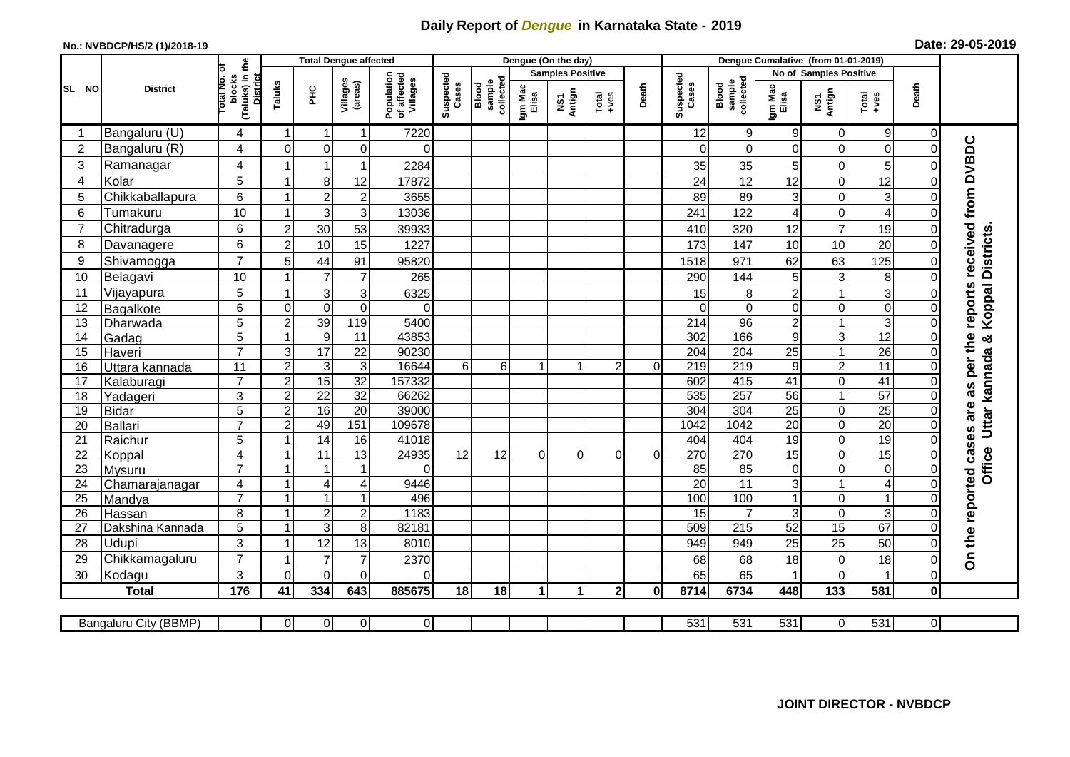## **Daily Report of** *Dengue* **in Karnataka State - 2019**

## **No.: NVBDCP/HS/2 (1)/2018-19 Date: 29-05-2019**

|                | <b>Total Dengue affected</b> |                                          |                  |                      |                              |                                       |                    |                              |                  | Dengue (On the day) |                  |              |                        |                              |                  |                      |                         |                            |                                      |
|----------------|------------------------------|------------------------------------------|------------------|----------------------|------------------------------|---------------------------------------|--------------------|------------------------------|------------------|---------------------|------------------|--------------|------------------------|------------------------------|------------------|----------------------|-------------------------|----------------------------|--------------------------------------|
|                |                              |                                          |                  |                      |                              |                                       |                    | <b>Samples Positive</b>      |                  |                     |                  |              | No of Samples Positive |                              |                  |                      |                         |                            |                                      |
| SL NO          | <b>District</b>              | (Taluks) in the<br>otal No. ol<br>blocks | Taluks           | ΞÉ                   | Villages<br>(areas)          | Population<br>of affected<br>Villages | Suspected<br>Cases | sample<br>collected<br>Blood | Igm Mac<br>Elisa | NS1<br>Antign       | $Tota$<br>$+ves$ | Death        | Suspected<br>Cases     | collected<br>sample<br>Blood | Igm Mac<br>Elisa | NS1<br>Antign        | $Tota$<br>$+ves$        | Death                      |                                      |
|                | Bangaluru (U)                | 4                                        | $\overline{1}$   | -1                   | $\mathbf{1}$                 | 7220                                  |                    |                              |                  |                     |                  |              | 12                     | $\boldsymbol{9}$             | 9                | 0                    | $9\,$                   | 0                          |                                      |
| $\overline{2}$ | Bangaluru (R)                | 4                                        | $\overline{0}$   | $\mathbf 0$          | 0                            | $\Omega$                              |                    |                              |                  |                     |                  |              | $\Omega$               | $\mathbf 0$                  | $\Omega$         | 0                    | $\mathbf 0$             | $\mathbf 0$                |                                      |
| 3              | Ramanagar                    | 4                                        |                  | $\overline{1}$       | $\mathbf{1}$                 | 2284                                  |                    |                              |                  |                     |                  |              | 35                     | 35                           | 5                | 0                    | 5                       | $\Omega$                   | reports received from DVBDC          |
| $\overline{4}$ | Kolar                        | 5                                        | 1                | 8                    | 12                           | 17872                                 |                    |                              |                  |                     |                  |              | 24                     | 12                           | 12               | $\mathbf 0$          | 12                      | $\mathbf 0$                |                                      |
| 5              | Chikkaballapura              | 6                                        | $\mathbf{1}$     | $\overline{c}$       | $\overline{\mathbf{c}}$      | 3655                                  |                    |                              |                  |                     |                  |              | 89                     | 89                           | 3                | 0                    | 3                       | $\mathbf 0$                |                                      |
| 6              | Tumakuru                     | 10                                       | -1               | 3                    | 3                            | 13036                                 |                    |                              |                  |                     |                  |              | 241                    | 122                          | 4                | 0                    | $\overline{\mathbf{4}}$ | $\Omega$                   |                                      |
| $\overline{7}$ | Chitradurga                  | 6                                        | $\overline{2}$   | 30                   | 53                           | 39933                                 |                    |                              |                  |                     |                  |              | 410                    | 320                          | 12               | $\overline{7}$       | 19                      | $\mathbf 0$                |                                      |
| 8              | Davanagere                   | 6                                        | $\overline{2}$   | 10                   | 15                           | 1227                                  |                    |                              |                  |                     |                  |              | 173                    | 147                          | 10               | 10                   | 20                      | $\Omega$                   |                                      |
| 9              | Shivamogga                   | $\overline{7}$                           | 5                | 44                   | 91                           | 95820                                 |                    |                              |                  |                     |                  |              | 1518                   | 971                          | 62               | 63                   | 125                     | $\Omega$                   | <b>Districts</b>                     |
| 10             | Belagavi                     | 10                                       |                  | $\overline{7}$       | $\overline{7}$               | 265                                   |                    |                              |                  |                     |                  |              | 290                    | 144                          | 5                | $\mathbf{3}$         | 8                       | $\Omega$                   |                                      |
| 11             | Vijayapura                   | 5                                        |                  | 3                    | $\mathbf{3}$                 | 6325                                  |                    |                              |                  |                     |                  |              | 15                     | 8                            | $\overline{c}$   | 1                    | $\overline{3}$          | C                          | Koppal                               |
| 12             | Bagalkote                    | 6                                        | $\Omega$         | $\mathbf 0$          | $\mathbf 0$                  | $\Omega$                              |                    |                              |                  |                     |                  |              | $\Omega$               | $\overline{0}$               | $\mathbf 0$      | 0                    | $\overline{0}$          | $\Omega$                   |                                      |
| 13             | Dharwada                     | $\overline{5}$                           | $\overline{2}$   | 39                   | 119                          | 5400                                  |                    |                              |                  |                     |                  |              | $\overline{214}$       | 96                           | $\overline{c}$   | $\mathbf{1}$         | $\overline{3}$          | $\overline{0}$             |                                      |
| 14             | Gadag                        | 5                                        | $\mathbf{1}$     | $\boldsymbol{9}$     | 11                           | 43853                                 |                    |                              |                  |                     |                  |              | 302                    | 166                          | $9\,$            | 3                    | 12                      | $\Omega$                   | න්                                   |
| 15             | Haveri                       | $\overline{7}$                           | $\mathsf 3$      | 17                   | $\overline{22}$              | 90230                                 |                    |                              |                  |                     |                  |              | 204                    | 204                          | 25               | $\overline{1}$       | $\overline{26}$         | $\Omega$                   |                                      |
| 16             | Uttara kannada               | 11                                       | $\overline{c}$   | 3                    | $\mathbf{3}$                 | 16644                                 | 6 <sup>1</sup>     | $6 \overline{6}$             |                  | 1                   | $\overline{2}$   | $\Omega$     | 219                    | 219                          | $\boldsymbol{9}$ | $\overline{c}$       | $\overline{11}$         | $\Omega$                   | Uttar kannada                        |
| 17             | Kalaburagi                   | $\overline{7}$                           | $\overline{2}$   | 15                   | 32                           | 157332                                |                    |                              |                  |                     |                  |              | 602                    | 415                          | 41               | 0                    | 41                      | $\Omega$                   |                                      |
| 18             | Yadageri                     | 3                                        | $\overline{2}$   | $\overline{22}$      | $\overline{32}$              | 66262                                 |                    |                              |                  |                     |                  |              | 535                    | 257                          | 56               | $\mathbf{1}$         | 57                      | $\Omega$                   |                                      |
| 19             | <b>Bidar</b>                 | 5                                        | $\boldsymbol{2}$ | 16                   | $\overline{20}$              | 39000                                 |                    |                              |                  |                     |                  |              | $\overline{304}$       | 304                          | 25               | 0                    | $\overline{25}$         | $\mathbf 0$                |                                      |
| 20             | Ballari                      | $\overline{7}$                           | $\overline{2}$   | 49                   | 151                          | 109678                                |                    |                              |                  |                     |                  |              | 1042                   | 1042                         | $\overline{20}$  | 0                    | 20                      | $\mathbf 0$                |                                      |
| 21             | Raichur                      | 5                                        |                  | $\overline{14}$      | 16                           | 41018                                 |                    |                              |                  |                     |                  |              | 404                    | 404                          | 19               | 0                    | $\overline{19}$         | $\mathbf 0$                |                                      |
| 22             | Koppal                       | $\overline{4}$                           |                  | 11                   | $\overline{13}$              | 24935                                 | 12                 | 12                           | $\Omega$         | $\Omega$            | $\Omega$         | $\Omega$     | 270                    | 270                          | 15               | $\overline{0}$       | 15                      | $\overline{0}$             |                                      |
| 23             | <b>Mysuru</b>                | $\overline{7}$                           | -1               | -1                   | $\mathbf{1}$                 | $\Omega$                              |                    |                              |                  |                     |                  |              | 85                     | $\overline{85}$              | $\mathbf 0$      | 0                    | $\overline{0}$          | $\mathbf 0$                | Office                               |
| 24             | Chamarajanagar               | 4                                        | $\mathbf{1}$     | $\overline{4}$       | $\overline{4}$               | 9446                                  |                    |                              |                  |                     |                  |              | $\overline{20}$        | $\overline{11}$              | 3                | $\mathbf{1}$         | $\overline{4}$          | $\mathbf 0$                |                                      |
| 25             | Mandya                       | $\overline{7}$                           | $\overline{ }$   | $\overline{1}$       | $\mathbf{1}$                 | 496                                   |                    |                              |                  |                     |                  |              | 100                    | 100                          |                  | 0                    | $\mathbf{1}$            | 0                          |                                      |
| 26             | Hassan                       | 8                                        | $\overline{1}$   | $\sqrt{2}$           | $\sqrt{2}$<br>$\overline{8}$ | 1183<br>82181                         |                    |                              |                  |                     |                  |              | 15<br>509              | $\overline{7}$               | 3<br>52          | 0<br>$\overline{15}$ | 3<br>67                 | $\mathbf 0$<br>$\mathbf 0$ |                                      |
| 27             | Dakshina Kannada             | 5                                        |                  | $\overline{3}$       |                              |                                       |                    |                              |                  |                     |                  |              |                        | 215                          |                  |                      |                         |                            |                                      |
| 28             | Udupi                        | 3<br>$\overline{7}$                      |                  | 12<br>$\overline{7}$ | 13                           | 8010                                  |                    |                              |                  |                     |                  |              | 949                    | 949                          | 25               | 25                   | 50                      | $\Omega$                   | On the reported cases are as per the |
| 29             | Chikkamagaluru               |                                          | $\Omega$         |                      | $\overline{7}$<br>0          | 2370                                  |                    |                              |                  |                     |                  |              | 68                     | 68                           | 18               | 0<br>$\overline{0}$  | 18<br>1                 | $\Omega$<br>$\Omega$       |                                      |
| 30             | Kodagu                       | 3                                        |                  | $\Omega$             |                              | $\Omega$                              |                    |                              |                  |                     |                  |              | 65                     | 65                           |                  |                      |                         |                            |                                      |
|                | <b>Total</b>                 | 176                                      | 41               | 334                  | 643                          | 885675                                | 18                 | 18                           | $\mathbf{1}$     | 1                   | 2 <sup>1</sup>   | <sup>0</sup> | 8714                   | 6734                         | 448              | 133                  | 581                     | $\bf{0}$                   |                                      |
|                | Bangaluru City (BBMP)        |                                          | $\Omega$         | $\overline{0}$       | $\overline{0}$               | $\overline{O}$                        |                    |                              |                  |                     |                  |              | 531                    | 531                          | 531              | $\overline{0}$       | 531                     | $\overline{0}$             |                                      |